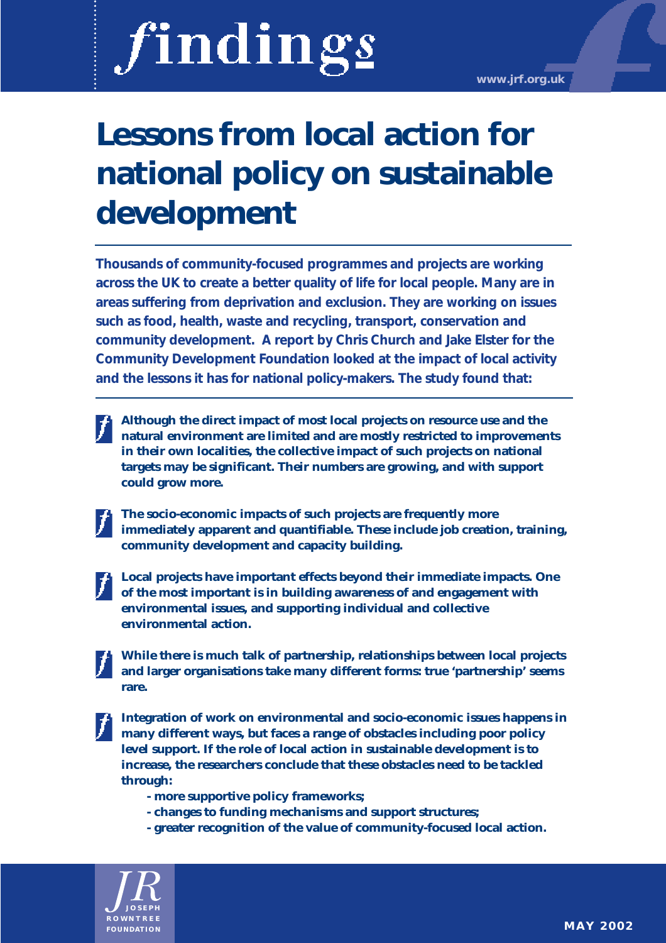# findings

**www.jrf.org.uk**

# **Lessons from local action for national policy on sustainable development**

**Thousands of community-focused programmes and projects are working across the UK to create a better quality of life for local people. Many are in areas suffering from deprivation and exclusion. They are working on issues such as food, health, waste and recycling, transport, conservation and community development. A report by Chris Church and Jake Elster for the Community Development Foundation looked at the impact of local activity and the lessons it has for national policy-makers. The study found that:**

- **Although the direct impact of most local projects on resource use and the natural environment are limited and are mostly restricted to improvements in their own localities, the collective impact of such projects on national targets may be significant. Their numbers are growing, and with support could grow more.**
- 

**The socio-economic impacts of such projects are frequently more immediately apparent and quantifiable. These include job creation, training, community development and capacity building.** 

**Local projects have important effects beyond their immediate impacts. One of the most important is in building awareness of and engagement with environmental issues, and supporting individual and collective environmental action.**

**While there is much talk of partnership, relationships between local projects and larger organisations take many different forms: true 'partnership' seems rare.**

**Integration of work on environmental and socio-economic issues happens in many different ways, but faces a range of obstacles including poor policy level support. If the role of local action in sustainable development is to increase, the researchers conclude that these obstacles need to be tackled through:**

- **more supportive policy frameworks;**
- **changes to funding mechanisms and support structures;**
- **greater recognition of the value of community-focused local action.**

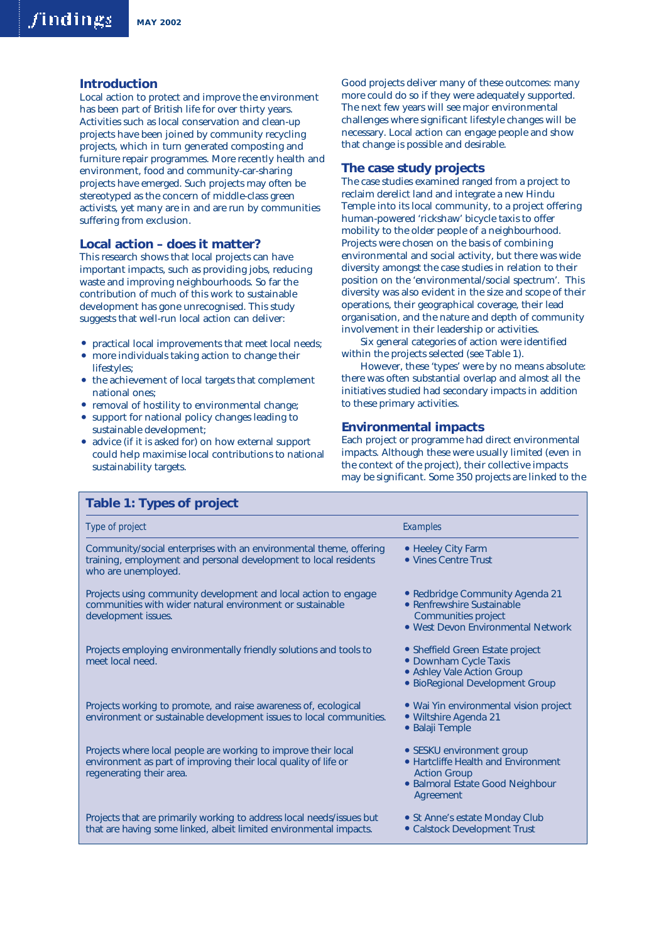# **Introduction**

Local action to protect and improve the environment has been part of British life for over thirty years. Activities such as local conservation and clean-up projects have been joined by community recycling projects, which in turn generated composting and furniture repair programmes. More recently health and environment, food and community-car-sharing projects have emerged. Such projects may often be stereotyped as the concern of middle-class green activists, yet many are in and are run by communities suffering from exclusion.

# **Local action – does it matter?**

This research shows that local projects can have important impacts, such as providing jobs, reducing waste and improving neighbourhoods. So far the contribution of much of this work to sustainable development has gone unrecognised. This study suggests that well-run local action can deliver:

- practical local improvements that meet local needs;
- more individuals taking action to change their lifestyles;
- the achievement of local targets that complement national ones;
- removal of hostility to environmental change;
- support for national policy changes leading to sustainable development;

**Table 1: Types of project**

• advice (if it is asked for) on how external support could help maximise local contributions to national sustainability targets.

Good projects deliver many of these outcomes: many more could do so if they were adequately supported. The next few years will see major environmental challenges where significant lifestyle changes will be necessary. Local action can engage people and show that change is possible and desirable.

# **The case study projects**

The case studies examined ranged from a project to reclaim derelict land and integrate a new Hindu Temple into its local community, to a project offering human-powered 'rickshaw' bicycle taxis to offer mobility to the older people of a neighbourhood. Projects were chosen on the basis of combining environmental and social activity, but there was wide diversity amongst the case studies in relation to their position on the 'environmental/social spectrum'. This diversity was also evident in the size and scope of their operations, their geographical coverage, their lead organisation, and the nature and depth of community involvement in their leadership or activities.

Six general categories of action were identified within the projects selected (see Table 1).

However, these 'types' were by no means absolute: there was often substantial overlap and almost all the initiatives studied had secondary impacts in addition to these primary activities.

# **Environmental impacts**

Each project or programme had direct environmental impacts. Although these were usually limited (even in the context of the project), their collective impacts may be significant. Some 350 projects are linked to the

| Type of project                                                                                                                                               | Examples                                                                                                                                 |
|---------------------------------------------------------------------------------------------------------------------------------------------------------------|------------------------------------------------------------------------------------------------------------------------------------------|
| Community/social enterprises with an environmental theme, offering<br>training, employment and personal development to local residents<br>who are unemployed. | • Heeley City Farm<br>• Vines Centre Trust                                                                                               |
| Projects using community development and local action to engage<br>communities with wider natural environment or sustainable<br>development issues.           | • Redbridge Community Agenda 21<br>• Renfrewshire Sustainable<br>Communities project<br>• West Devon Environmental Network               |
| Projects employing environmentally friendly solutions and tools to<br>meet local need.                                                                        | • Sheffield Green Estate project<br>• Downham Cycle Taxis<br>• Ashley Vale Action Group<br>· BioRegional Development Group               |
| Projects working to promote, and raise awareness of, ecological<br>environment or sustainable development issues to local communities.                        | • Wai Yin environmental vision project<br>• Wiltshire Agenda 21<br>· Balaji Temple                                                       |
| Projects where local people are working to improve their local<br>environment as part of improving their local quality of life or<br>regenerating their area. | • SESKU environment group<br>• Hartcliffe Health and Environment<br><b>Action Group</b><br>• Balmoral Estate Good Neighbour<br>Agreement |
| Projects that are primarily working to address local needs/issues but<br>that are having some linked, albeit limited environmental impacts.                   | • St Anne's estate Monday Club<br>• Calstock Development Trust                                                                           |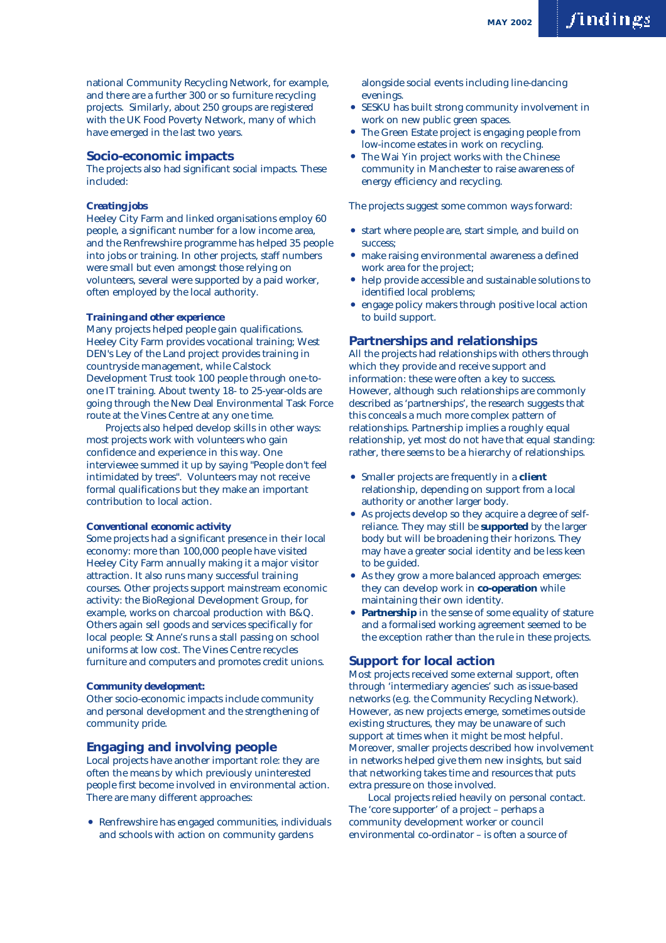national Community Recycling Network, for example, and there are a further 300 or so furniture recycling projects. Similarly, about 250 groups are registered with the UK Food Poverty Network, many of which have emerged in the last two years.

#### **Socio-economic impacts**

The projects also had significant social impacts. These included:

#### *Creating jobs*

Heeley City Farm and linked organisations employ 60 people, a significant number for a low income area, and the Renfrewshire programme has helped 35 people into jobs or training. In other projects, staff numbers were small but even amongst those relying on volunteers, several were supported by a paid worker, often employed by the local authority.

#### *Training and other experience*

Many projects helped people gain qualifications. Heeley City Farm provides vocational training; West DEN's Ley of the Land project provides training in countryside management, while Calstock Development Trust took 100 people through one-toone IT training. About twenty 18- to 25-year-olds are going through the New Deal Environmental Task Force route at the Vines Centre at any one time.

Projects also helped develop skills in other ways: most projects work with volunteers who gain confidence and experience in this way. One interviewee summed it up by saying "People don't feel intimidated by trees". Volunteers may not receive formal qualifications but they make an important contribution to local action.

#### *Conventional economic activity*

Some projects had a significant presence in their local economy: more than 100,000 people have visited Heeley City Farm annually making it a major visitor attraction. It also runs many successful training courses. Other projects support mainstream economic activity: the BioRegional Development Group, for example, works on charcoal production with B&Q. Others again sell goods and services specifically for local people: St Anne's runs a stall passing on school uniforms at low cost. The Vines Centre recycles furniture and computers and promotes credit unions.

#### *Community development:*

Other socio-economic impacts include community and personal development and the strengthening of community pride.

# **Engaging and involving people**

Local projects have another important role: they are often the means by which previously uninterested people first become involved in environmental action. There are many different approaches:

• Renfrewshire has engaged communities, individuals and schools with action on community gardens

alongside social events including line-dancing evenings.

- SESKU has built strong community involvement in work on new public green spaces.
- The Green Estate project is engaging people from low-income estates in work on recycling.
- The Wai Yin project works with the Chinese community in Manchester to raise awareness of energy efficiency and recycling.

The projects suggest some common ways forward:

- start where people are, start simple, and build on success;
- make raising environmental awareness a defined work area for the project;
- help provide accessible and sustainable solutions to identified local problems;
- engage policy makers through positive local action to build support.

# **Partnerships and relationships**

All the projects had relationships with others through which they provide and receive support and information: these were often a key to success. However, although such relationships are commonly described as 'partnerships', the research suggests that this conceals a much more complex pattern of relationships. Partnership implies a roughly equal relationship, yet most do not have that equal standing: rather, there seems to be a hierarchy of relationships.

- Smaller projects are frequently in a **client** relationship, depending on support from a local authority or another larger body.
- As projects develop so they acquire a degree of selfreliance. They may still be **supported** by the larger body but will be broadening their horizons. They may have a greater social identity and be less keen to be guided.
- As they grow a more balanced approach emerges: they can develop work in **co-operation** while maintaining their own identity.
- Partnership in the sense of some equality of stature and a formalised working agreement seemed to be the exception rather than the rule in these projects.

# **Support for local action**

Most projects received some external support, often through 'intermediary agencies' such as issue-based networks (e.g. the Community Recycling Network). However, as new projects emerge, sometimes outside existing structures, they may be unaware of such support at times when it might be most helpful. Moreover, smaller projects described how involvement in networks helped give them new insights, but said that networking takes time and resources that puts extra pressure on those involved.

Local projects relied heavily on personal contact. The 'core supporter' of a project – perhaps a community development worker or council environmental co-ordinator – is often a source of